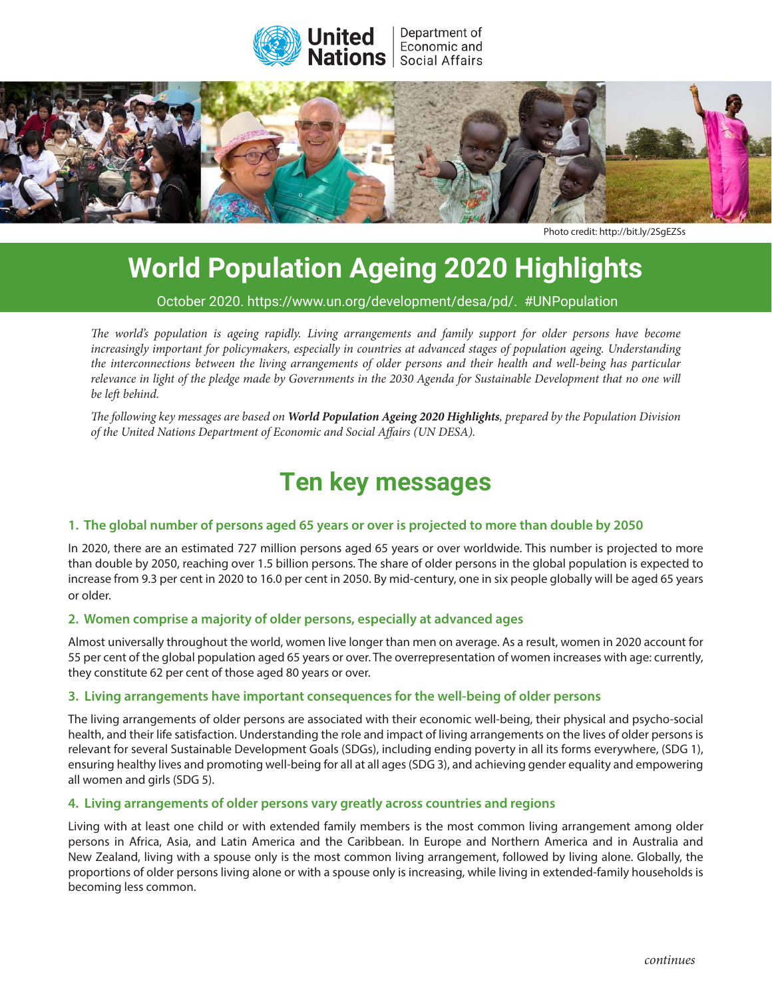



Photo credit: <http://bit.ly/2SgEZSs>

# **World Population Ageing 2020 Highlights**

October 2020. [https://www.un.org/development/desa/pd/.](https://www.un.org/development/desa/pd/) #UNPopulation

*The world's population is ageing rapidly. Living arrangements and family support for older persons have become* increasingly important for policymakers, especially in countries at advanced stages of population ageing. Understanding the interconnections between the living arrangements of older persons and their health and well-being has particular relevance in light of the pledge made by Governments in the 2030 Agenda for Sustainable Development that no one will<br>. of the goals and objectives of the Programme of Action of Action of the International Conference on Population o *be left behind.*

*The following key messages are based on [World Population Ageing 2020 Highlights](https://www.un.org/development/desa/pd/news/world-population-ageing-2020-highlights), prepared by the Population Division of the United Nations Department of Economic and Social Affairs (UN DESA).*

## **1. Important gains have been made in implementing the Programme of Action Ten key messages**

#### 1. The global number of persons aged 65 years or over is projected to more than double by 2050

In 2020, there are an estimated 727 million persons aged 65 years or over worldwide. This number is projected to more In the empower are the committed by million persons agen by years in the manufation manufacture proyected to the<br>than double by 2050, reaching over 1.5 billion persons. The share of older persons in the global population i increase from 9.3 per cent in 2020 to 16.0 per cent in 2050. By mid-century, one in six people globally will be aged 65 years or older.

### 2. Women comprise a majority of older persons, especially at advanced ages

Almost universally throughout the world, women live longer than men on average. As a result, women in 2020 account for All lost alliversally throughout the world, women live longer than men on average. As a result, women in 2020 account for<br>55 per cent of the global population aged 65 years or over. The overrepresentation of women increase they constitute 62 per cent of those aged 80 years or over.

#### weblas the ICPD target. Likewise, the global maternal more than the global mortality ratio, despite significan 3. Living arrangements have important consequences for the well-being of older persons<br>

health, and their life satisfaction. Understanding the role and impact of living arrangements on the lives of older persons is relevant for several Sustainable Development Goals (SDGs), including ending poverty in all its forms everywhere, (SDG 1), ensuring healthy lives and promoting well-being for all at all ages (SDG 3), and achieving gender equality and empowering from and girls (כ $\sigma$ כי פון, while provide the environment and girls  $\rho$ The living arrangements of older persons are associated with their economic well-being, their physical and psycho-social all women and girls (SDG 5).

#### **4. Living arrangements of older persons vary greatly across countries and regions**

Living with at least one child or with extended family members is the most common living arrangement among older persons in Amea, Asia, and Eatin America and the Cambbean. In Europe and Northern America and in Australia and<br>New Zealand, living with a spouse only is the most common living arrangement, followed by living alone. Globall Between 1994 and 2019, the total fertility rate fell from 2.9 to 2.5 births per woman. Today, proportions of older persons living alone or with a spouse only is increasing, while living in extended-family households is becoming less common. The world's population lives with fertility under 2.1 births per woman of the woman of the woman of the woman of the woman of the woman of the woman of the woman of the woman of the woman of the woman persons in Africa, Asia, and Latin America and the Caribbean. In Europe and Northern America and in Australia and